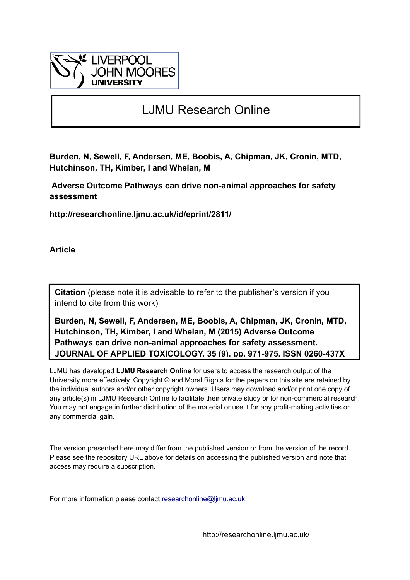

# LJMU Research Online

**Burden, N, Sewell, F, Andersen, ME, Boobis, A, Chipman, JK, Cronin, MTD, Hutchinson, TH, Kimber, I and Whelan, M**

 **Adverse Outcome Pathways can drive non-animal approaches for safety assessment**

**http://researchonline.ljmu.ac.uk/id/eprint/2811/**

**Article**

**Citation** (please note it is advisable to refer to the publisher's version if you intend to cite from this work)

**Burden, N, Sewell, F, Andersen, ME, Boobis, A, Chipman, JK, Cronin, MTD, Hutchinson, TH, Kimber, I and Whelan, M (2015) Adverse Outcome Pathways can drive non-animal approaches for safety assessment. JOURNAL OF APPLIED TOXICOLOGY, 35 (9). pp. 971-975. ISSN 0260-437X** 

LJMU has developed **[LJMU Research Online](http://researchonline.ljmu.ac.uk/)** for users to access the research output of the University more effectively. Copyright © and Moral Rights for the papers on this site are retained by the individual authors and/or other copyright owners. Users may download and/or print one copy of any article(s) in LJMU Research Online to facilitate their private study or for non-commercial research. You may not engage in further distribution of the material or use it for any profit-making activities or any commercial gain.

The version presented here may differ from the published version or from the version of the record. Please see the repository URL above for details on accessing the published version and note that access may require a subscription.

For more information please contact researchonline@limu.ac.uk

http://researchonline.ljmu.ac.uk/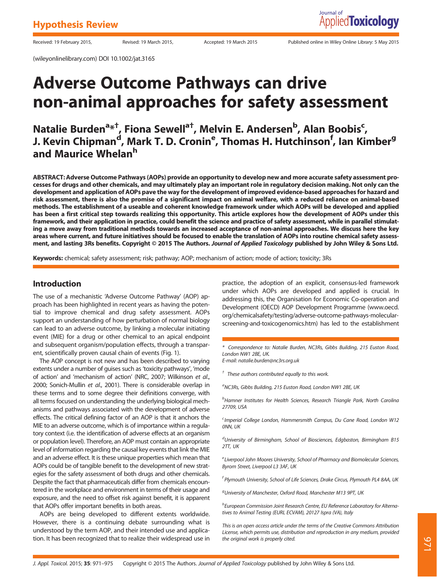(wileyonlinelibrary.com) DOI 10.1002/jat.3165

Received: 19 February 2015, **Revised: 19 March 2015,** Accepted: 19 March 2015 Published online in Wiley Online Library: 5 May 2015

# Adverse Outcome Pathways can drive non-animal approaches for safety assessment

Natalie Burden<sup>a\*†</sup>, Fiona Sewell<sup>a†</sup>, Melvin E. Andersen<sup>b</sup>, Alan Boobis<sup>c</sup>, J. Kevin Chipman<sup>d</sup>, Mark T. D. Cronin<sup>e</sup>, Thomas H. Hutchinson<sup>f</sup>, Ian Kimber<sup>g</sup> and Maurice Whelan<sup>h</sup>

ABSTRACT: Adverse Outcome Pathways (AOPs) provide an opportunity to develop new and more accurate safety assessment processes for drugs and other chemicals, and may ultimately play an important role in regulatory decision making. Not only can the development and application of AOPs pave the way for the development of improved evidence-based approaches for hazard and risk assessment, there is also the promise of a significant impact on animal welfare, with a reduced reliance on animal-based methods. The establishment of a useable and coherent knowledge framework under which AOPs will be developed and applied has been a first critical step towards realizing this opportunity. This article explores how the development of AOPs under this framework, and their application in practice, could benefit the science and practice of safety assessment, while in parallel stimulating a move away from traditional methods towards an increased acceptance of non-animal approaches. We discuss here the key areas where current, and future initiatives should be focused to enable the translation of AOPs into routine chemical safety assessment, and lasting 3Rs benefits. Copyright © 2015 The Authors. Journal of Applied Toxicology published by John Wiley & Sons Ltd.

Keywords: chemical; safety assessment; risk; pathway; AOP; mechanism of action; mode of action; toxicity; 3Rs

## Introduction

The use of a mechanistic 'Adverse Outcome Pathway' (AOP) approach has been highlighted in recent years as having the potential to improve chemical and drug safety assessment. AOPs support an understanding of how perturbation of normal biology can lead to an adverse outcome, by linking a molecular initiating event (MIE) for a drug or other chemical to an apical endpoint and subsequent organism/population effects, through a transparent, scientifically proven causal chain of events (Fig. 1).

The AOP concept is not new and has been described to varying extents under a number of guises such as 'toxicity pathways', 'mode of action' and 'mechanism of action' (NRC, 2007; Wilkinson et al., 2000; Sonich-Mullin et al., 2001). There is considerable overlap in these terms and to some degree their definitions converge, with all terms focused on understanding the underlying biological mechanisms and pathways associated with the development of adverse effects. The critical defining factor of an AOP is that it anchors the MIE to an adverse outcome, which is of importance within a regulatory context (i.e. the identification of adverse effects at an organism or population level). Therefore, an AOP must contain an appropriate level of information regarding the causal key events that link the MIE and an adverse effect. It is these unique properties which mean that AOPs could be of tangible benefit to the development of new strategies for the safety assessment of both drugs and other chemicals. Despite the fact that pharmaceuticals differ from chemicals encountered in the workplace and environment in terms of their usage and exposure, and the need to offset risk against benefit, it is apparent that AOPs offer important benefits in both areas.

AOPs are being developed to different extents worldwide. However, there is a continuing debate surrounding what is understood by the term AOP, and their intended use and application. It has been recognized that to realize their widespread use in practice, the adoption of an explicit, consensus-led framework under which AOPs are developed and applied is crucial. In addressing this, the Organisation for Economic Co-operation and Development (OECD) AOP Development Programme [\(www.oecd.](http://www.oecd.org/chemicalsafety/testing/adverse-outcome-pathways-molecular-screening-and-toxicogenomics.htm) [org/chemicalsafety/testing/adverse-outcome-pathways-molecular](http://www.oecd.org/chemicalsafety/testing/adverse-outcome-pathways-molecular-screening-and-toxicogenomics.htm)[screening-and-toxicogenomics.htm\)](http://www.oecd.org/chemicalsafety/testing/adverse-outcome-pathways-molecular-screening-and-toxicogenomics.htm) has led to the establishment

Correspondence to: Natalie Burden, NC3Rs, Gibbs Building, 215 Euston Road, London NW1 2BE, UK. E-mail: natalie.burden@nc3rs.org.uk

 $<sup>†</sup>$  These authors contributed equally to this work.</sup>

<sup>a</sup>NC3Rs, Gibbs Building, 215 Euston Road, London NW1 2BE, UK

<sup>b</sup>Hamner Institutes for Health Sciences, Research Triangle Park, North Carolina 27709, USA

<sup>c</sup>Imperial College London, Hammersmith Campus, Du Cane Road, London W12 0NN, UK

<sup>d</sup>University of Birmingham, School of Biosciences, Edgbaston, Birmingham B15 2TT, UK

<sup>e</sup> Liverpool John Moores University, School of Pharmacy and Biomolecular Sciences, Byrom Street, Liverpool L3 3AF, UK

<sup>f</sup> Plymouth University, School of Life Sciences, Drake Circus, Plymouth PL4 8AA, Uk

<sup>g</sup>University of Manchester, Oxford Road, Manchester M13 9PT, UK

h European Commission Joint Research Centre, EU Reference Laboratory for Alternatives to Animal Testing (EURL ECVAM), 20127 Ispra (VA), Italy

This is an open access article under the terms of the Creative Commons Attribution License, which permits use, distribution and reproduction in any medium, provided the original work is properly cited.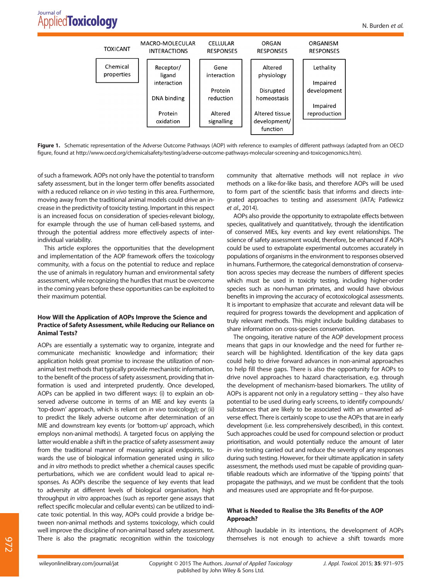

Figure 1. Schematic representation of the Adverse Outcome Pathways (AOP) with reference to examples of different pathways (adapted from an OECD figure, found at [http://www.oecd.org/chemicalsafety/testing/adverse-outcome-pathways-molecular-screening-and-toxicogenomics.htm\)](http://www.oecd.org/chemicalsafety/testing/adverse-outcome-pathways-molecular-screening-and-toxicogenomics.htm).

of such a framework. AOPs not only have the potential to transform safety assessment, but in the longer term offer benefits associated with a reduced reliance on in vivo testing in this area. Furthermore, moving away from the traditional animal models could drive an increase in the predictivity of toxicity testing. Important in this respect is an increased focus on consideration of species-relevant biology, for example through the use of human cell-based systems, and through the potential address more effectively aspects of interindividual variability.

This article explores the opportunities that the development and implementation of the AOP framework offers the toxicology community, with a focus on the potential to reduce and replace the use of animals in regulatory human and environmental safety assessment, while recognizing the hurdles that must be overcome in the coming years before these opportunities can be exploited to their maximum potential.

#### How Will the Application of AOPs Improve the Science and Practice of Safety Assessment, while Reducing our Reliance on Animal Tests?

AOPs are essentially a systematic way to organize, integrate and communicate mechanistic knowledge and information; their application holds great promise to increase the utilization of nonanimal test methods that typically provide mechanistic information, to the benefit of the process of safety assessment, providing that information is used and interpreted prudently. Once developed, AOPs can be applied in two different ways: (i) to explain an observed adverse outcome in terms of an MIE and key events (a 'top-down' approach, which is reliant on in vivo toxicology); or (ii) to predict the likely adverse outcome after determination of an MIE and downstream key events (or 'bottom-up' approach, which employs non-animal methods). A targeted focus on applying the latter would enable a shift in the practice of safety assessment away from the traditional manner of measuring apical endpoints, towards the use of biological information generated using in silico and in vitro methods to predict whether a chemical causes specific perturbations, which we are confident would lead to apical responses. As AOPs describe the sequence of key events that lead to adversity at different levels of biological organisation, high throughput in vitro approaches (such as reporter gene assays that reflect specific molecular and cellular events) can be utilized to indicate toxic potential. In this way, AOPs could provide a bridge between non-animal methods and systems toxicology, which could well improve the discipline of non-animal based safety assessment. There is also the pragmatic recognition within the toxicology

community that alternative methods will not replace in vivo methods on a like-for-like basis, and therefore AOPs will be used to form part of the scientific basis that informs and directs integrated approaches to testing and assessment (IATA; Patlewicz et al., 2014).

AOPs also provide the opportunity to extrapolate effects between species, qualitatively and quantitatively, through the identification of conserved MIEs, key events and key event relationships. The science of safety assessment would, therefore, be enhanced if AOPs could be used to extrapolate experimental outcomes accurately in populations of organisms in the environment to responses observed in humans. Furthermore, the categorical demonstration of conservation across species may decrease the numbers of different species which must be used in toxicity testing, including higher-order species such as non-human primates, and would have obvious benefits in improving the accuracy of ecotoxicological assessments. It is important to emphasize that accurate and relevant data will be required for progress towards the development and application of truly relevant methods. This might include building databases to share information on cross-species conservation.

The ongoing, iterative nature of the AOP development process means that gaps in our knowledge and the need for further research will be highlighted. Identification of the key data gaps could help to drive forward advances in non-animal approaches to help fill these gaps. There is also the opportunity for AOPs to drive novel approaches to hazard characterisation, e.g. through the development of mechanism-based biomarkers. The utility of AOPs is apparent not only in a regulatory setting – they also have potential to be used during early screens, to identify compounds/ substances that are likely to be associated with an unwanted adverse effect. There is certainly scope to use the AOPs that are in early development (i.e. less comprehensively described), in this context. Such approaches could be used for compound selection or product prioritisation, and would potentially reduce the amount of later in vivo testing carried out and reduce the severity of any responses during such testing. However, for their ultimate application in safety assessment, the methods used must be capable of providing quantifiable readouts which are informative of the 'tipping points' that propagate the pathways, and we must be confident that the tools and measures used are appropriate and fit-for-purpose.

#### What is Needed to Realise the 3Rs Benefits of the AOP Approach?

Although laudable in its intentions, the development of AOPs themselves is not enough to achieve a shift towards more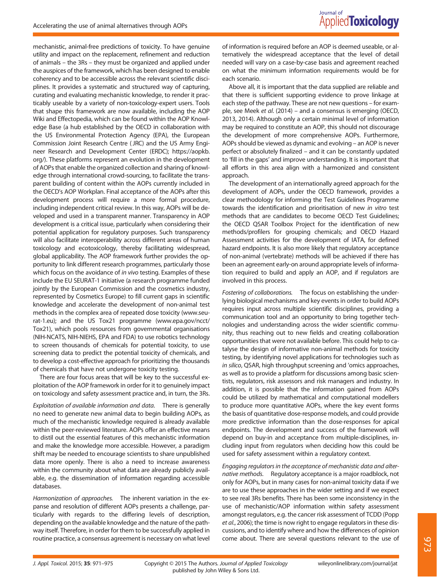mechanistic, animal-free predictions of toxicity. To have genuine utility and impact on the replacement, refinement and reduction of animals – the 3Rs – they must be organized and applied under the auspices of the framework, which has been designed to enable coherency and to be accessible across the relevant scientific disciplines. It provides a systematic and structured way of capturing, curating and evaluating mechanistic knowledge, to render it practicably useable by a variety of non-toxicology-expert users. Tools that shape this framework are now available, including the AOP Wiki and Effectopedia, which can be found within the AOP Knowledge Base (a hub established by the OECD in collaboration with the US Environmental Protection Agency (EPA), the European Commission Joint Research Centre ( JRC) and the US Army Engineer Research and Development Center (ERDC); https://aopkb. org/). These platforms represent an evolution in the development of AOPs that enable the organized collection and sharing of knowledge through international crowd-sourcing, to facilitate the transparent building of content within the AOPs currently included in the OECD's AOP Workplan. Final acceptance of the AOPs after this development process will require a more formal procedure, including independent critical review. In this way, AOPs will be developed and used in a transparent manner. Transparency in AOP development is a critical issue, particularly when considering their potential application for regulatory purposes. Such transparency will also facilitate interoperability across different areas of human toxicology and ecotoxicology, thereby facilitating widespread, global applicability. The AOP framework further provides the opportunity to link different research programmes, particularly those which focus on the avoidance of in vivo testing. Examples of these include the EU SEURAT-1 initiative (a research programme funded jointly by the European Commission and the cosmetics industry, represented by Cosmetics Europe) to fill current gaps in scientific knowledge and accelerate the development of non-animal test methods in the complex area of repeated dose toxicity (www.seurat-1.eu); and the US Tox21 programme [\(www.epa.gov/ncct/](http://www.epa.gov/ncct/Tox21) [Tox21](http://www.epa.gov/ncct/Tox21)), which pools resources from governmental organisations (NIH-NCATS, NIH-NIEHS, EPA and FDA) to use robotics technology to screen thousands of chemicals for potential toxicity, to use screening data to predict the potential toxicity of chemicals, and to develop a cost-effective approach for prioritizing the thousands of chemicals that have not undergone toxicity testing.

There are four focus areas that will be key to the successful exploitation of the AOP framework in order for it to genuinely impact on toxicology and safety assessment practice and, in turn, the 3Rs.

Exploitation of available information and data. There is generally no need to generate new animal data to begin building AOPs, as much of the mechanistic knowledge required is already available within the peer-reviewed literature. AOPs offer an effective means to distil out the essential features of this mechanistic information and make the knowledge more accessible. However, a paradigm shift may be needed to encourage scientists to share unpublished data more openly. There is also a need to increase awareness within the community about what data are already publicly available, e.g. the dissemination of information regarding accessible databases.

Harmonization of approaches. The inherent variation in the expanse and resolution of different AOPs presents a challenge, particularly with regards to the differing levels of description, depending on the available knowledge and the nature of the pathway itself. Therefore, in order for them to be successfully applied in routine practice, a consensus agreement is necessary on what level

of information is required before an AOP is deemed useable, or alternatively the widespread acceptance that the level of detail needed will vary on a case-by-case basis and agreement reached on what the minimum information requirements would be for each scenario.

Above all, it is important that the data supplied are reliable and that there is sufficient supporting evidence to prove linkage at each step of the pathway. These are not new questions – for example, see Meek et al. (2014) – and a consensus is emerging (OECD, 2013, 2014). Although only a certain minimal level of information may be required to constitute an AOP, this should not discourage the development of more comprehensive AOPs. Furthermore, AOPs should be viewed as dynamic and evolving – an AOP is never perfect or absolutely finalized – and it can be constantly updated to 'fill in the gaps' and improve understanding. It is important that all efforts in this area align with a harmonized and consistent approach.

The development of an internationally agreed approach for the development of AOPs, under the OECD framework, provides a clear methodology for informing the Test Guidelines Programme towards the identification and prioritisation of new in vitro test methods that are candidates to become OECD Test Guidelines; the OECD QSAR Toolbox Project for the identification of new methods/profilers for grouping chemicals; and OECD Hazard Assessment activities for the development of IATA, for defined hazard endpoints. It is also more likely that regulatory acceptance of non-animal (vertebrate) methods will be achieved if there has been an agreement early-on around appropriate levels of information required to build and apply an AOP, and if regulators are involved in this process.

Fostering of collaborations. The focus on establishing the underlying biological mechanisms and key events in order to build AOPs requires input across multiple scientific disciplines, providing a communication tool and an opportunity to bring together technologies and understanding across the wider scientific community, thus reaching out to new fields and creating collaboration opportunities that were not available before. This could help to catalyse the design of informative non-animal methods for toxicity testing, by identifying novel applications for technologies such as in silico, QSAR, high throughput screening and 'omics approaches, as well as to provide a platform for discussions among basic scientists, regulators, risk assessors and risk managers and industry. In addition, it is possible that the information gained from AOPs could be utilized by mathematical and computational modellers to produce more quantitative AOPs, where the key event forms the basis of quantitative dose-response models, and could provide more predictive information than the dose-responses for apical endpoints. The development and success of the framework will depend on buy-in and acceptance from multiple-disciplines, including input from regulators when deciding how this could be used for safety assessment within a regulatory context.

Engaging regulators in the acceptance of mechanistic data and alternative methods. Regulatory acceptance is a major roadblock, not only for AOPs, but in many cases for non-animal toxicity data if we are to use these approaches in the wider setting and if we expect to see real 3Rs benefits. There has been some inconsistency in the use of mechanistic/AOP information within safety assessment amongst regulators, e.g. the cancer risk assessment of TCDD (Popp et al., 2006); the time is now right to engage regulators in these discussions, and to identify where and how the differences of opinion come about. There are several questions relevant to the use of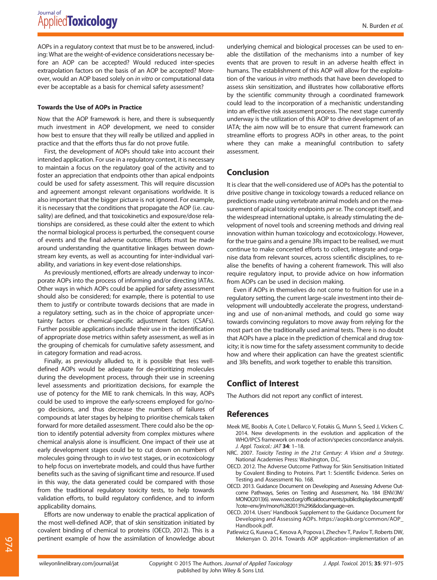AOPs in a regulatory context that must be to be answered, including: What are the weight-of-evidence considerations necessary before an AOP can be accepted? Would reduced inter-species extrapolation factors on the basis of an AOP be accepted? Moreover, would an AOP based solely on in vitro or computational data ever be acceptable as a basis for chemical safety assessment?

#### Towards the Use of AOPs in Practice

Now that the AOP framework is here, and there is subsequently much investment in AOP development, we need to consider how best to ensure that they will really be utilized and applied in practice and that the efforts thus far do not prove futile.

First, the development of AOPs should take into account their intended application. For use in a regulatory context, it is necessary to maintain a focus on the regulatory goal of the activity and to foster an appreciation that endpoints other than apical endpoints could be used for safety assessment. This will require discussion and agreement amongst relevant organisations worldwide. It is also important that the bigger picture is not ignored. For example, it is necessary that the conditions that propagate the AOP (i.e. causality) are defined, and that toxicokinetics and exposure/dose relationships are considered, as these could alter the extent to which the normal biological process is perturbed, the consequent course of events and the final adverse outcome. Efforts must be made around understanding the quantitative linkages between downstream key events, as well as accounting for inter-individual variability, and variations in key event-dose relationships.

As previously mentioned, efforts are already underway to incorporate AOPs into the process of informing and/or directing IATAs. Other ways in which AOPs could be applied for safety assessment should also be considered; for example, there is potential to use them to justify or contribute towards decisions that are made in a regulatory setting, such as in the choice of appropriate uncertainty factors or chemical-specific adjustment factors (CSAFs). Further possible applications include their use in the identification of appropriate dose metrics within safety assessment, as well as in the grouping of chemicals for cumulative safety assessment, and in category formation and read-across.

Finally, as previously alluded to, it is possible that less welldefined AOPs would be adequate for de-prioritizing molecules during the development process, through their use in screening level assessments and prioritization decisions, for example the use of potency for the MIE to rank chemicals. In this way, AOPs could be used to improve the early-screens employed for go/nogo decisions, and thus decrease the numbers of failures of compounds at later stages by helping to prioritise chemicals taken forward for more detailed assessment. There could also be the option to identify potential adversity from complex mixtures where chemical analysis alone is insufficient. One impact of their use at early development stages could be to cut down on numbers of molecules going through to in vivo test stages, or in ecotoxicology to help focus on invertebrate models, and could thus have further benefits such as the saving of significant time and resource. If used in this way, the data generated could be compared with those from the traditional regulatory toxicity tests, to help towards validation efforts, to build regulatory confidence, and to inform applicability domains.

Efforts are now underway to enable the practical application of the most well-defined AOP, that of skin sensitization initiated by covalent binding of chemical to proteins (OECD, 2012). This is a pertinent example of how the assimilation of knowledge about

underlying chemical and biological processes can be used to enable the distillation of the mechanisms into a number of key events that are proven to result in an adverse health effect in humans. The establishment of this AOP will allow for the exploitation of the various in vitro methods that have been developed to assess skin sensitization, and illustrates how collaborative efforts by the scientific community through a coordinated framework could lead to the incorporation of a mechanistic understanding into an effective risk assessment process. The next stage currently underway is the utilization of this AOP to drive development of an IATA; the aim now will be to ensure that current framework can streamline efforts to progress AOPs in other areas, to the point where they can make a meaningful contribution to safety assessment.

# Conclusion

It is clear that the well-considered use of AOPs has the potential to drive positive change in toxicology towards a reduced reliance on predictions made using vertebrate animal models and on the measurement of apical toxicity endpoints per se. The concept itself, and the widespread international uptake, is already stimulating the development of novel tools and screening methods and driving real innovation within human toxicology and ecotoxicology. However, for the true gains and a genuine 3Rs impact to be realised, we must continue to make concerted efforts to collect, integrate and organise data from relevant sources, across scientific disciplines, to realise the benefits of having a coherent framework. This will also require regulatory input, to provide advice on how information from AOPs can be used in decision making.

Even if AOPs in themselves do not come to fruition for use in a regulatory setting, the current large-scale investment into their development will undoubtedly accelerate the progress, understanding and use of non-animal methods, and could go some way towards convincing regulators to move away from relying for the most part on the traditionally used animal tests. There is no doubt that AOPs have a place in the prediction of chemical and drug toxicity; it is now time for the safety assessment community to decide how and where their application can have the greatest scientific and 3Rs benefits, and work together to enable this transition.

# Conflict of Interest

The Authors did not report any conflict of interest.

### References

- Meek ME, Boobis A, Cote I, Dellarco V, Fotakis G, Munn S, Seed J, Vickers C. 2014. New developments in the evolution and application of the WHO/IPCS framework on mode of action/species concordance analysis. J. Appl. Toxicol.: JAT 34: 1–18.
- NRC. 2007. Toxicity Testing in the 21st Century: A Vision and a Strategy. National Academies Press: Washington, D.C.
- OECD. 2012. The Adverse Outcome Pathway for Skin Sensitisation Initiated by Covalent Binding to Proteins. Part 1: Scientific Evidence. Series on Testing and Assessment No. 168.
- OECD. 2013. Guidance Document on Developing and Assessing Adverse Outcome Pathways, Series on Testing and Assessment, No. 184 (ENV/JM/ MONO(2013)6). [www.oecd.org/officialdocuments/publicdisplaydocumentpdf/](http://www.oecd.org/officialdocuments/publicdisplaydocumentpdf/?cote=env/jm/mono%282013%296&doclanguage=en) [?cote=env/jm/mono%282013%296&doclanguage=en](http://www.oecd.org/officialdocuments/publicdisplaydocumentpdf/?cote=env/jm/mono%282013%296&doclanguage=en).
- OECD. 2014. Users' Handbook Supplement to the Guidance Document for Developing and Assessing AOPs. [https://aopkb.org/common/AOP\\_](https://aopkb.org/common/AOP_Handbook.pdf) [Handbook.pdf.](https://aopkb.org/common/AOP_Handbook.pdf)
- Patlewicz G, Kuseva C, Kesova A, Popova I, Zhechev T, Pavlov T, Roberts DW, Mekenyan O. 2014. Towards AOP application--implementation of an